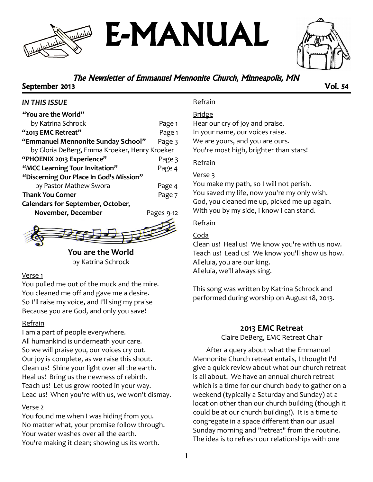# E-MANUAL

### The Newsletter of Emmanuel Mennonite Church, Minneapolis, MN

#### September 2013 Vol. 54

#### *IN THIS ISSUE*

| "You are the World"                           |            |
|-----------------------------------------------|------------|
| by Katrina Schrock                            | Page 1     |
| "2013 EMC Retreat"                            | Page 1     |
| "Emmanuel Mennonite Sunday School"            | Page 3     |
| by Gloria DeBerg, Emma Kroeker, Henry Kroeker |            |
| "PHOENIX 2013 Experience"                     | Page 3     |
| "MCC Learning Tour Invitation"                | Page 4     |
| "Discerning Our Place In God's Mission"       |            |
| by Pastor Mathew Swora                        | Page 4     |
| <b>Thank You Corner</b>                       | Page 7     |
| <b>Calendars for September, October,</b>      |            |
| November, December                            | Pages 9-12 |
|                                               |            |



**You are the World** by Katrina Schrock

#### Verse 1

You pulled me out of the muck and the mire. You cleaned me off and gave me a desire. So I'll raise my voice, and I'll sing my praise Because you are God, and only you save!

#### Refrain

I am a part of people everywhere. All humankind is underneath your care. So we will praise you, our voices cry out. Our joy is complete, as we raise this shout. Clean us! Shine your light over all the earth. Heal us! Bring us the newness of rebirth. Teach us! Let us grow rooted in your way. Lead us! When you're with us, we won't dismay.

#### Verse 2

You found me when I was hiding from you. No matter what, your promise follow through. Your water washes over all the earth. You're making it clean; showing us its worth.

#### Refrain

Bridge

Hear our cry of joy and praise. In your name, our voices raise. We are yours, and you are ours. You're most high, brighter than stars!

#### Refrain

#### Verse 3

You make my path, so I will not perish. You saved my life, now you're my only wish. God, you cleaned me up, picked me up again. With you by my side, I know I can stand.

#### Refrain

#### Coda

Clean us! Heal us! We know you're with us now. Teach us! Lead us! We know you'll show us how. Alleluia, you are our king. Alleluia, we'll always sing.

This song was written by Katrina Schrock and performed during worship on August 18, 2013.

#### **2013 EMC Retreat**

Claire DeBerg, EMC Retreat Chair

After a query about what the Emmanuel Mennonite Church retreat entails, I thought I'd give a quick review about what our church retreat is all about. We have an annual church retreat which is a time for our church body to gather on a weekend (typically a Saturday and Sunday) at a location other than our church building (though it could be at our church building!). It is a time to congregate in a space different than our usual Sunday morning and "retreat" from the routine. The idea is to refresh our relationships with one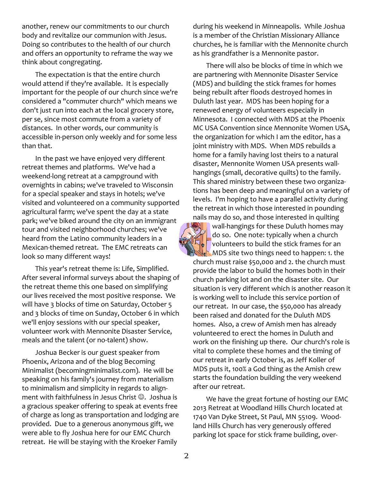another, renew our commitments to our church body and revitalize our communion with Jesus. Doing so contributes to the health of our church and offers an opportunity to reframe the way we think about congregating.

The expectation is that the entire church would attend if they're available. It is especially important for the people of our church since we're considered a "commuter church" which means we don't just run into each at the local grocery store, per se, since most commute from a variety of distances. In other words, our community is accessible in-person only weekly and for some less than that.

In the past we have enjoyed very different retreat themes and platforms. We've had a weekend-long retreat at a campground with overnights in cabins; we've traveled to Wisconsin for a special speaker and stays in hotels; we've visited and volunteered on a community supported agricultural farm; we've spent the day at a state park; we've biked around the city on an immigrant tour and visited neighborhood churches; we've heard from the Latino community leaders in a Mexican-themed retreat. The EMC retreats can look so many different ways!

This year's retreat theme is: Life, Simplified. After several informal surveys about the shaping of the retreat theme this one based on simplifying our lives received the most positive response. We will have 3 blocks of time on Saturday, October 5 and 3 blocks of time on Sunday, October 6 in which we'll enjoy sessions with our special speaker, volunteer work with Mennonite Disaster Service, meals and the talent (or no-talent) show.

Joshua Becker is our guest speaker from Phoenix, Arizona and of the blog Becoming Minimalist (becomingminimalist.com). He will be speaking on his family's journey from materialism to minimalism and simplicity in regards to alignment with faithfulness in Jesus Christ  $\odot$ . Joshua is a gracious speaker offering to speak at events free of charge as long as transportation and lodging are provided. Due to a generous anonymous gift, we were able to fly Joshua here for our EMC Church retreat. He will be staying with the Kroeker Family

during his weekend in Minneapolis. While Joshua is a member of the Christian Missionary Alliance churches, he is familiar with the Mennonite church as his grandfather is a Mennonite pastor.

There will also be blocks of time in which we are partnering with Mennonite Disaster Service (MDS) and building the stick frames for homes being rebuilt after floods destroyed homes in Duluth last year. MDS has been hoping for a renewed energy of volunteers especially in Minnesota. I connected with MDS at the Phoenix MC USA Convention since Mennonite Women USA, the organization for which I am the editor, has a joint ministry with MDS. When MDS rebuilds a home for a family having lost theirs to a natural disaster, Mennonite Women USA presents wallhangings (small, decorative quilts) to the family. This shared ministry between these two organizations has been deep and meaningful on a variety of levels. I'm hoping to have a parallel activity during the retreat in which those interested in pounding nails may do so, and those interested in quilting



wall-hangings for these Duluth homes may do so. One note: typically when a church volunteers to build the stick frames for an MDS site two things need to happen: 1. the church must raise \$50,000 and 2. the church must provide the labor to build the homes both in their church parking lot and on the disaster site. Our situation is very different which is another reason it

is working well to include this service portion of our retreat. In our case, the \$50,000 has already been raised and donated for the Duluth MDS homes. Also, a crew of Amish men has already volunteered to erect the homes in Duluth and work on the finishing up there. Our church's role is vital to complete these homes and the timing of our retreat in early October is, as Jeff Koller of MDS puts it, 100% a God thing as the Amish crew starts the foundation building the very weekend after our retreat.

We have the great fortune of hosting our EMC 2013 Retreat at Woodland Hills Church located at 1740 Van Dyke Street, St Paul, MN 55109. Woodland Hills Church has very generously offered parking lot space for stick frame building, over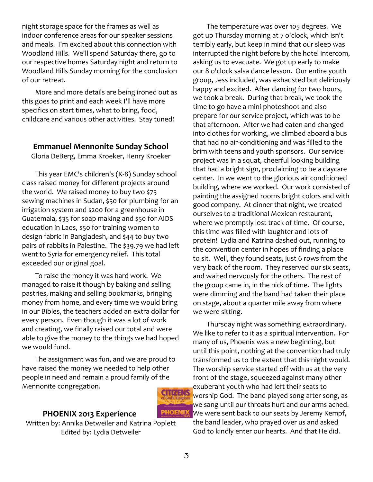night storage space for the frames as well as indoor conference areas for our speaker sessions and meals. I'm excited about this connection with Woodland Hills. We'll spend Saturday there, go to our respective homes Saturday night and return to Woodland Hills Sunday morning for the conclusion of our retreat.

More and more details are being ironed out as this goes to print and each week I'll have more specifics on start times, what to bring, food, childcare and various other activities. Stay tuned!

#### **Emmanuel Mennonite Sunday School**

Gloria DeBerg, Emma Kroeker, Henry Kroeker

This year EMC's children's (K-8) Sunday school class raised money for different projects around the world. We raised money to buy two \$75 sewing machines in Sudan, \$50 for plumbing for an irrigation system and \$200 for a greenhouse in Guatemala, \$35 for soap making and \$50 for AIDS education in Laos, \$50 for training women to design fabric in Bangladesh, and \$44 to buy two pairs of rabbits in Palestine. The \$39.79 we had left went to Syria for emergency relief. This total exceeded our original goal.

To raise the money it was hard work. We managed to raise it though by baking and selling pastries, making and selling bookmarks, bringing money from home, and every time we would bring in our Bibles, the teachers added an extra dollar for every person. Even though it was a lot of work and creating, we finally raised our total and were able to give the money to the things we had hoped we would fund.

The assignment was fun, and we are proud to have raised the money we needed to help other people in need and remain a proud family of the Mennonite congregation.

#### **PHOENIX 2013 Experience**

Written by: Annika Detweiler and Katrina Poplett Edited by: Lydia Detweiler

**CITIZENS** 

The temperature was over 105 degrees. We got up Thursday morning at 7 o'clock, which isn't terribly early, but keep in mind that our sleep was interrupted the night before by the hotel intercom, asking us to evacuate. We got up early to make our 8 o'clock salsa dance lesson. Our entire youth group, Jess included, was exhausted but deliriously happy and excited. After dancing for two hours, we took a break. During that break, we took the time to go have a mini-photoshoot and also prepare for our service project, which was to be that afternoon. After we had eaten and changed into clothes for working, we climbed aboard a bus that had no air-conditioning and was filled to the brim with teens and youth sponsors. Our service project was in a squat, cheerful looking building that had a bright sign, proclaiming to be a daycare center. In we went to the glorious air conditioned building, where we worked. Our work consisted of painting the assigned rooms bright colors and with good company. At dinner that night, we treated ourselves to a traditional Mexican restaurant, where we promptly lost track of time. Of course, this time was filled with laughter and lots of protein! Lydia and Katrina dashed out, running to the convention center in hopes of finding a place to sit. Well, they found seats, just 6 rows from the very back of the room. They reserved our six seats, and waited nervously for the others. The rest of the group came in, in the nick of time. The lights were dimming and the band had taken their place on stage, about a quarter mile away from where we were sitting.

Thursday night was something extraordinary. We like to refer to it as a spiritual intervention. For many of us, Phoenix was a new beginning, but until this point, nothing at the convention had truly transformed us to the extent that this night would. The worship service started off with us at the very front of the stage, squeezed against many other exuberant youth who had left their seats to worship God. The band played song after song, as we sang until our throats hurt and our arms ached. We were sent back to our seats by Jeremy Kempf, the band leader, who prayed over us and asked God to kindly enter our hearts. And that He did.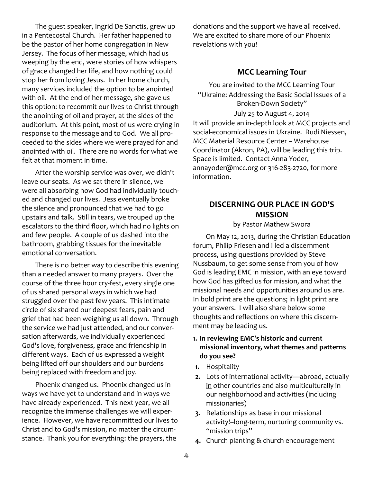The guest speaker, Ingrid De Sanctis, grew up in a Pentecostal Church. Her father happened to be the pastor of her home congregation in New Jersey. The focus of her message, which had us weeping by the end, were stories of how whispers of grace changed her life, and how nothing could stop her from loving Jesus. In her home church, many services included the option to be anointed with oil. At the end of her message, she gave us this option: to recommit our lives to Christ through the anointing of oil and prayer, at the sides of the auditorium. At this point, most of us were crying in response to the message and to God. We all proceeded to the sides where we were prayed for and anointed with oil. There are no words for what we felt at that moment in time.

After the worship service was over, we didn't leave our seats. As we sat there in silence, we were all absorbing how God had individually touched and changed our lives. Jess eventually broke the silence and pronounced that we had to go upstairs and talk. Still in tears, we trouped up the escalators to the third floor, which had no lights on and few people. A couple of us dashed into the bathroom, grabbing tissues for the inevitable emotional conversation.

There is no better way to describe this evening than a needed answer to many prayers. Over the course of the three hour cry-fest, every single one of us shared personal ways in which we had struggled over the past few years. This intimate circle of six shared our deepest fears, pain and grief that had been weighing us all down. Through the service we had just attended, and our conversation afterwards, we individually experienced God's love, forgiveness, grace and friendship in different ways. Each of us expressed a weight being lifted off our shoulders and our burdens being replaced with freedom and joy.

Phoenix changed us. Phoenix changed us in ways we have yet to understand and in ways we have already experienced. This next year, we all recognize the immense challenges we will experience. However, we have recommitted our lives to Christ and to God's mission, no matter the circumstance. Thank you for everything: the prayers, the

donations and the support we have all received. We are excited to share more of our Phoenix revelations with you!

#### **MCC Learning Tour**

You are invited to the MCC Learning Tour "Ukraine: Addressing the Basic Social Issues of a Broken-Down Society" July 25 to August 4, 2014 It will provide an in-depth look at MCC projects and social-economical issues in Ukraine. Rudi Niessen, MCC Material Resource Center – Warehouse Coordinator (Akron, PA), will be leading this trip. Space is limited. Contact Anna Yoder, annayoder@mcc.org or 316-283-2720, for more information.

#### **DISCERNING OUR PLACE IN GOD'S MISSION**

by Pastor Mathew Swora

On May 12, 2013, during the Christian Education forum, Philip Friesen and I led a discernment process, using questions provided by Steve Nussbaum, to get some sense from you of how God is leading EMC in mission, with an eye toward how God has gifted us for mission, and what the missional needs and opportunities around us are. In bold print are the questions; in light print are your answers. I will also share below some thoughts and reflections on where this discernment may be leading us.

#### **1. In reviewing EMC's historic and current missional inventory, what themes and patterns do you see?**

- **1.** Hospitality
- **2.** Lots of international activity—abroad, actually in other countries and also multiculturally in our neighborhood and activities (including missionaries)
- **3.** Relationships as base in our missional activity!--long-term, nurturing community vs. "mission trips"
- **4.** Church planting & church encouragement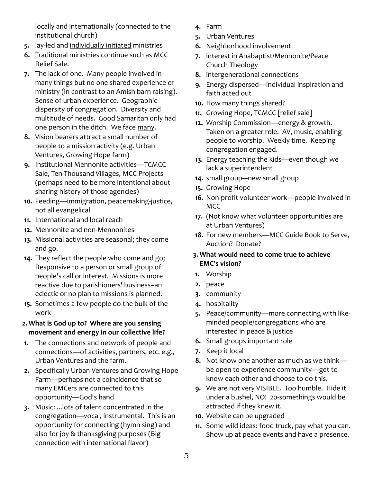locally and internationally (connected to the institutional church)

- **5.** lay-led and individually initiated ministries
- **6.** Traditional ministries continue such as MCC Relief Sale.
- **7.** The lack of one. Many people involved in many things but no one shared experience of ministry (in contrast to an Amish barn raising). Sense of urban experience. Geographic dispersity of congregation. Diversity and multitude of needs. Good Samaritan only had one person in the ditch. We face many.
- **8.** Vision bearers attract a small number of people to a mission activity (e.g. Urban Ventures, Growing Hope farm)
- **9.** Institutional Mennonite activities—TCMCC Sale, Ten Thousand Villages, MCC Projects (perhaps need to be more intentional about sharing history of those agencies)
- **10.** Feeding—immigration, peacemaking-justice, not all evangelical
- **11.** International and local reach
- **12.** Mennonite and non-Mennonites
- **13.** Missional activities are seasonal; they come and go.
- **14.** They reflect the people who come and go; Responsive to a person or small group of people's call or interest. Missions is more reactive due to parishioners' business–an eclectic or no plan to missions is planned.
- **15.** Sometimes a few people do the bulk of the work
- **2. What is God up to? Where are you sensing movement and energy in our collective life?**
- **1.** The connections and network of people and connections—of activities, partners, etc. e.g., Urban Ventures and the farm.
- **2.** Specifically Urban Ventures and Growing Hope Farm—perhaps not a coincidence that so many EMCers are connected to this opportunity—God's hand
- **3.** Music: ...lots of talent concentrated in the congregation—vocal, instrumental. This is an opportunity for connecting (hymn sing) and also for joy & thanksgiving purposes (Big connection with international flavor)
- **4.** Farm
- **5.** Urban Ventures
- **6.** Neighborhood involvement
- **7.** interest in Anabaptist/Mennonite/Peace Church Theology
- **8.** intergenerational connections
- **9.** Energy dispersed—individual inspiration and faith acted out
- **10.** How many things shared?
- **11.** Growing Hope, TCMCC [relief sale]
- **12.** Worship Commission—energy & growth. Taken on a greater role. AV, music, enabling people to worship. Weekly time. Keeping congregation engaged.
- **13.** Energy teaching the kids—even though we lack a superintendent
- 14. small group---new small group
- **15.** Growing Hope
- **16.** Non-profit volunteer work—people involved in MCC
- **17.** (Not know what volunteer opportunities are at Urban Ventures)
- **18.** For new members—MCC Guide Book to Serve, Auction? Donate?

#### **3. What would need to come true to achieve EMC's vision?**

- **1.** Worship
- **2.** peace
- **3.** community
- **4.** hospitality
- **5.** Peace/community—more connecting with likeminded people/congregations who are interested in peace & justice
- **6.** Small groups important role
- **7.** Keep it local
- **8.** Not know one another as much as we think be open to experience community—get to know each other and choose to do this.
- **9.** We are not very VISIBLE. Too humble. Hide it under a bushel, NO! 20-somethings would be attracted if they knew it.
- **10.** Website can be upgraded
- **11.** Some wild ideas: food truck, pay what you can. Show up at peace events and have a presence.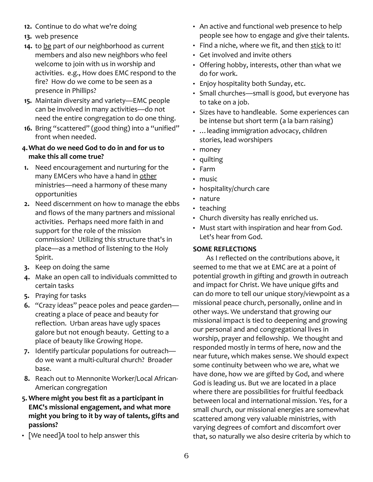- **12.** Continue to do what we're doing
- **13.** web presence
- **14.** to be part of our neighborhood as current members and also new neighbors who feel welcome to join with us in worship and activities. e.g., How does EMC respond to the fire? How do we come to be seen as a presence in Phillips?
- **15.** Maintain diversity and variety—EMC people can be involved in many activities—do not need the entire congregation to do one thing.
- **16.** Bring "scattered" (good thing) into a "unified" front when needed.

#### **4.What do we need God to do in and for us to make this all come true?**

- **1.** Need encouragement and nurturing for the many EMCers who have a hand in other ministries—need a harmony of these many opportunities
- **2.** Need discernment on how to manage the ebbs and flows of the many partners and missional activities. Perhaps need more faith in and support for the role of the mission commission? Utilizing this structure that's in place—as a method of listening to the Holy Spirit.
- **3.** Keep on doing the same
- **4.** Make an open call to individuals committed to certain tasks
- **5.** Praying for tasks
- **6.** "Crazy ideas" peace poles and peace garden creating a place of peace and beauty for reflection. Urban areas have ugly spaces galore but not enough beauty. Getting to a place of beauty like Growing Hope.
- **7.** Identify particular populations for outreach do we want a multi-cultural church? Broader base.
- **8.** Reach out to Mennonite Worker/Local African-American congregation
- **5. Where might you best fit as a participant in EMC's missional engagement, and what more might you bring to it by way of talents, gifts and passions?**
- [We need]A tool to help answer this
- An active and functional web presence to help people see how to engage and give their talents.
- Find a niche, where we fit, and then stick to it!
- Get involved and invite others
- Offering hobby, interests, other than what we do for work.
- Enjoy hospitality both Sunday, etc.
- Small churches—small is good, but everyone has to take on a job.
- Sizes have to handleable. Some experiences can be intense but short term (a la barn raising)
- …leading immigration advocacy, children stories, lead worshipers
- money
- quilting
- Farm
- music
- hospitality/church care
- nature
- teaching
- Church diversity has really enriched us.
- Must start with inspiration and hear from God. Let's hear from God.

#### **SOME REFLECTIONS**

As I reflected on the contributions above, it seemed to me that we at EMC are at a point of potential growth in gifting and growth in outreach and impact for Christ. We have unique gifts and can do more to tell our unique story/viewpoint as a missional peace church, personally, online and in other ways. We understand that growing our missional impact is tied to deepening and growing our personal and and congregational lives in worship, prayer and fellowship. We thought and responded mostly in terms of here, now and the near future, which makes sense. We should expect some continuity between who we are, what we have done, how we are gifted by God, and where God is leading us. But we are located in a place where there are possibilities for fruitful feedback between local and international mission. Yes, for a small church, our missional energies are somewhat scattered among very valuable ministries, with varying degrees of comfort and discomfort over that, so naturally we also desire criteria by which to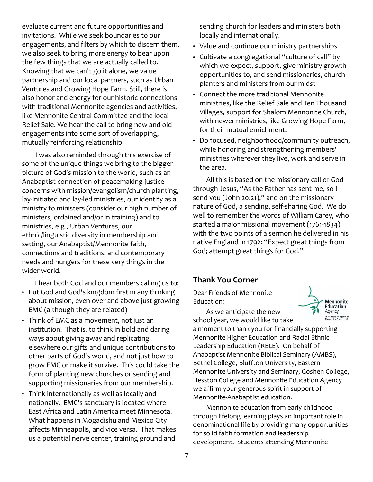evaluate current and future opportunities and invitations. While we seek boundaries to our engagements, and filters by which to discern them, we also seek to bring more energy to bear upon the few things that we are actually called to. Knowing that we can't go it alone, we value partnership and our local partners, such as Urban Ventures and Growing Hope Farm. Still, there is also honor and energy for our historic connections with traditional Mennonite agencies and activities, like Mennonite Central Committee and the local Relief Sale. We hear the call to bring new and old engagements into some sort of overlapping, mutually reinforcing relationship.

I was also reminded through this exercise of some of the unique things we bring to the bigger picture of God's mission to the world, such as an Anabaptist connection of peacemaking-justice concerns with mission/evangelism/church planting, lay-initiated and lay-led ministries, our identity as a ministry to ministers (consider our high number of ministers, ordained and/or in training) and to ministries, e.g., Urban Ventures, our ethnic/linguistic diversity in membership and setting, our Anabaptist/Mennonite faith, connections and traditions, and contemporary needs and hungers for these very things in the wider world.

I hear both God and our members calling us to:

- Put God and God's kingdom first in any thinking about mission, even over and above just growing EMC (although they are related)
- Think of EMC as a movement, not just an institution. That is, to think in bold and daring ways about giving away and replicating elsewhere our gifts and unique contributions to other parts of God's world, and not just how to grow EMC or make it survive. This could take the form of planting new churches or sending and supporting missionaries from our membership.
- Think internationally as well as locally and nationally. EMC's sanctuary is located where East Africa and Latin America meet Minnesota. What happens in Mogadishu and Mexico City affects Minneapolis, and vice versa. That makes us a potential nerve center, training ground and

sending church for leaders and ministers both locally and internationally.

- Value and continue our ministry partnerships
- Cultivate a congregational "culture of call" by which we expect, support, give ministry growth opportunities to, and send missionaries, church planters and ministers from our midst
- Connect the more traditional Mennonite ministries, like the Relief Sale and Ten Thousand Villages, support for Shalom Mennonite Church, with newer ministries, like Growing Hope Farm, for their mutual enrichment.
- Do focused, neighborhood/community outreach, while honoring and strengthening members' ministries wherever they live, work and serve in the area.

All this is based on the missionary call of God through Jesus, "As the Father has sent me, so I send you (John 20:21)," and on the missionary nature of God, a sending, self-sharing God. We do well to remember the words of William Carey, who started a major missional movement (1761-1834) with the two points of a sermon he delivered in his native England in 1792: "Expect great things from God; attempt great things for God."

#### **Thank You Corner**

Dear Friends of Mennonite Education:

As we anticipate the new

**Mennonite**<br>Education Agency The education agency of<br>Mennonite Church USA

school year, we would like to take a moment to thank you for financially supporting Mennonite Higher Education and Racial Ethnic Leadership Education (RELE). On behalf of Anabaptist Mennonite Biblical Seminary (AMBS), Bethel College, Bluffton University, Eastern Mennonite University and Seminary, Goshen College, Hesston College and Mennonite Education Agency we affirm your generous spirit in support of Mennonite-Anabaptist education.

Mennonite education from early childhood through lifelong learning plays an important role in denominational life by providing many opportunities for solid faith formation and leadership development. Students attending Mennonite